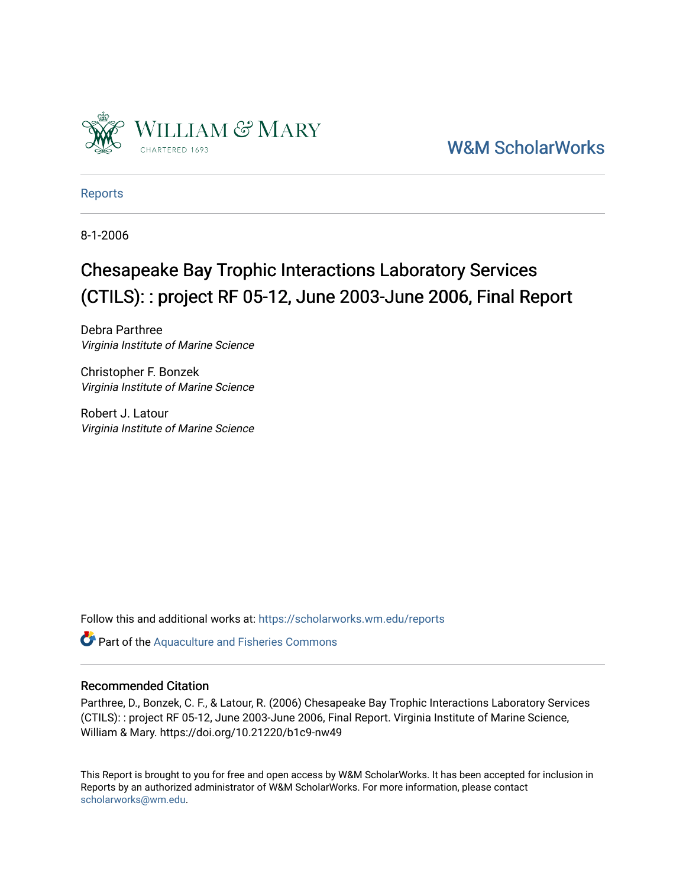

[W&M ScholarWorks](https://scholarworks.wm.edu/) 

[Reports](https://scholarworks.wm.edu/reports)

8-1-2006

## Chesapeake Bay Trophic Interactions Laboratory Services (CTILS): : project RF 05-12, June 2003-June 2006, Final Report

Debra Parthree Virginia Institute of Marine Science

Christopher F. Bonzek Virginia Institute of Marine Science

Robert J. Latour Virginia Institute of Marine Science

Follow this and additional works at: [https://scholarworks.wm.edu/reports](https://scholarworks.wm.edu/reports?utm_source=scholarworks.wm.edu%2Freports%2F1816&utm_medium=PDF&utm_campaign=PDFCoverPages)

Part of the [Aquaculture and Fisheries Commons](http://network.bepress.com/hgg/discipline/78?utm_source=scholarworks.wm.edu%2Freports%2F1816&utm_medium=PDF&utm_campaign=PDFCoverPages)

#### Recommended Citation

Parthree, D., Bonzek, C. F., & Latour, R. (2006) Chesapeake Bay Trophic Interactions Laboratory Services (CTILS): : project RF 05-12, June 2003-June 2006, Final Report. Virginia Institute of Marine Science, William & Mary. https://doi.org/10.21220/b1c9-nw49

This Report is brought to you for free and open access by W&M ScholarWorks. It has been accepted for inclusion in Reports by an authorized administrator of W&M ScholarWorks. For more information, please contact [scholarworks@wm.edu.](mailto:scholarworks@wm.edu)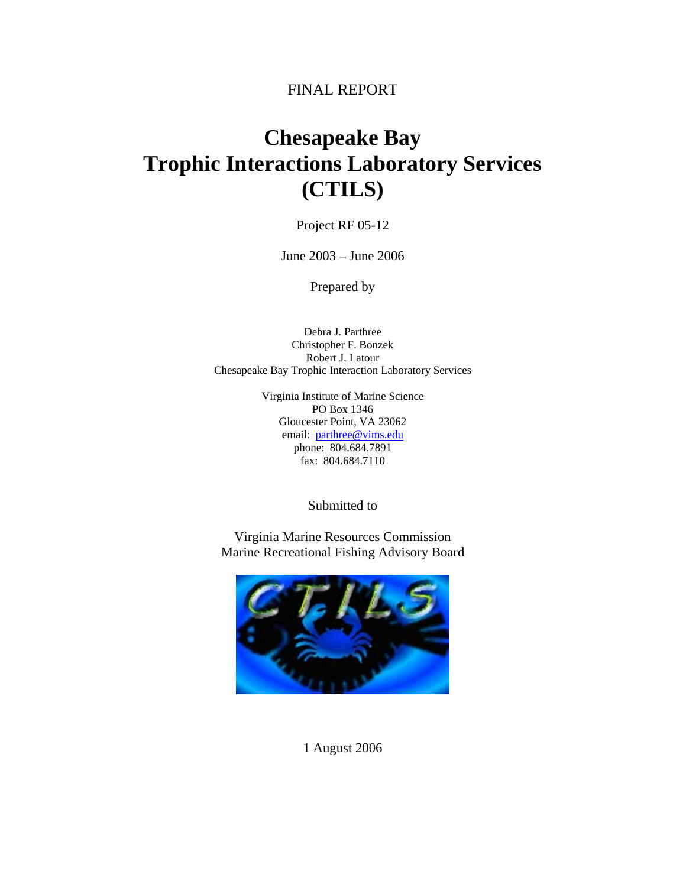## FINAL REPORT

# **Chesapeake Bay Trophic Interactions Laboratory Services (CTILS)**

Project RF 05-12

June 2003 – June 2006

Prepared by

Debra J. Parthree Christopher F. Bonzek Robert J. Latour Chesapeake Bay Trophic Interaction Laboratory Services

> Virginia Institute of Marine Science PO Box 1346 Gloucester Point, VA 23062 email: parthree@vims.edu phone: 804.684.7891 fax: 804.684.7110

> > Submitted to

Virginia Marine Resources Commission Marine Recreational Fishing Advisory Board



1 August 2006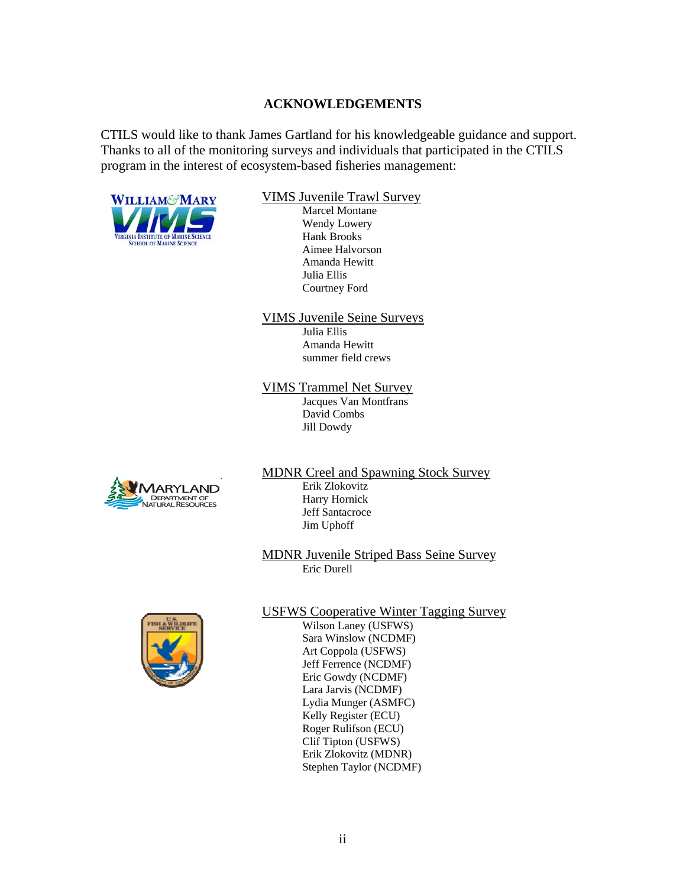#### **ACKNOWLEDGEMENTS**

CTILS would like to thank James Gartland for his knowledgeable guidance and support. Thanks to all of the monitoring surveys and individuals that participated in the CTILS program in the interest of ecosystem-based fisheries management:



#### WILLIAM&MARY VIMS Juvenile Trawl Survey

 Marcel Montane Wendy Lowery Aimee Halvorson Amanda Hewitt Julia Ellis Courtney Ford

#### VIMS Juvenile Seine Surveys

 Julia Ellis Amanda Hewitt summer field crews

#### VIMS Trammel Net Survey

 Jacques Van Montfrans David Combs Jill Dowdy



## MDNR Creel and Spawning Stock Survey<br>TARYLAND Erik Zlokovitz DEPARTMENT OF SANTON HARRY HORNICK Jeff Santacroce Jim Uphoff

 MDNR Juvenile Striped Bass Seine Survey Eric Durell



# USFWS Cooperative Winter Tagging Survey Wilson Laney (USFWS)

 Sara Winslow (NCDMF) Art Coppola (USFWS) Jeff Ferrence (NCDMF) Eric Gowdy (NCDMF) Lara Jarvis (NCDMF) Lydia Munger (ASMFC) Kelly Register (ECU) Roger Rulifson (ECU) Clif Tipton (USFWS) Erik Zlokovitz (MDNR) Stephen Taylor (NCDMF)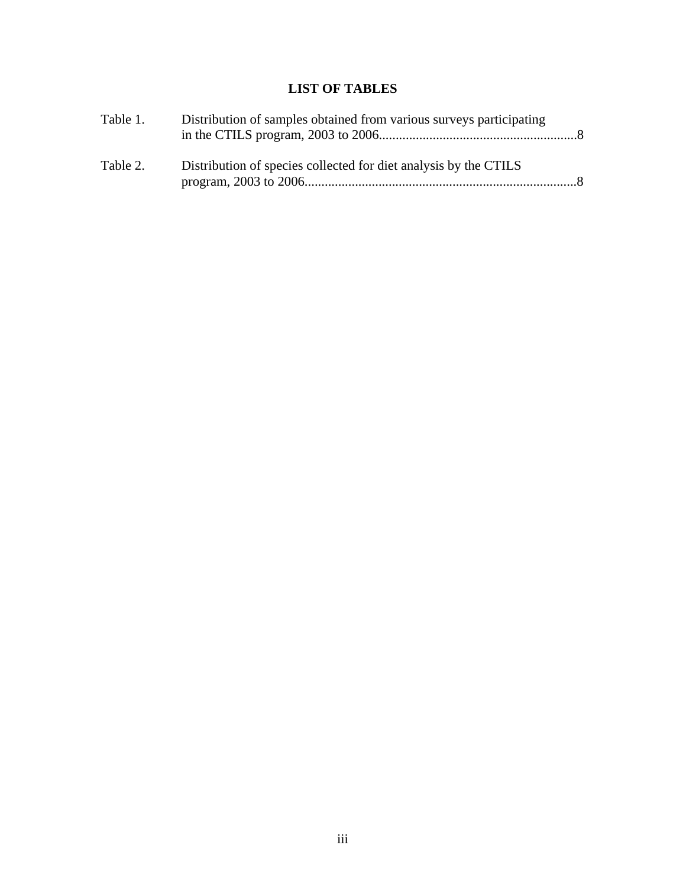## **LIST OF TABLES**

| Table 1. | Distribution of samples obtained from various surveys participating |                |
|----------|---------------------------------------------------------------------|----------------|
| Table 2. | Distribution of species collected for diet analysis by the CTILS    | $\mathbb{R}^8$ |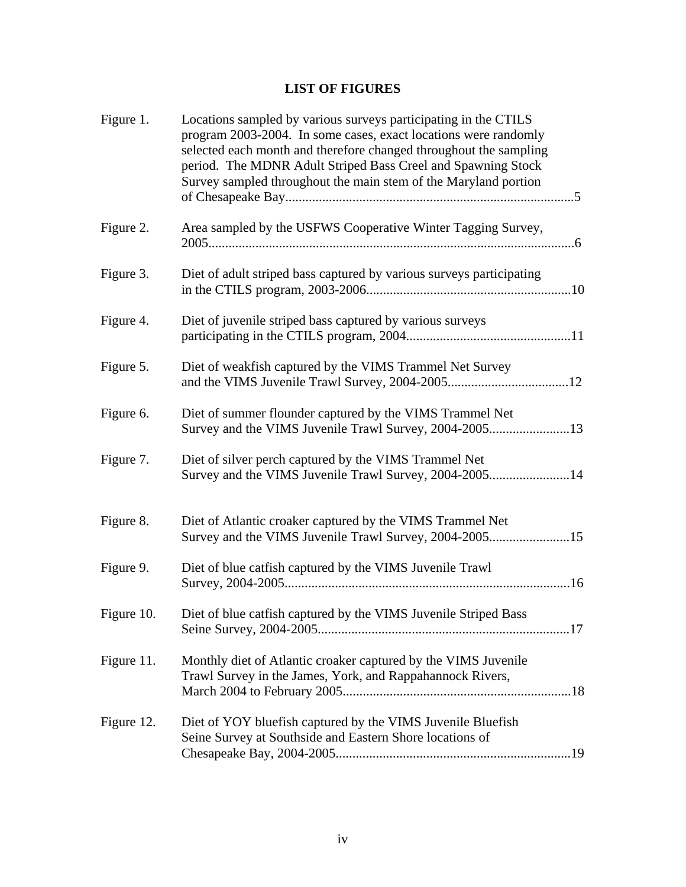## **LIST OF FIGURES**

| Figure 1.  | Locations sampled by various surveys participating in the CTILS<br>program 2003-2004. In some cases, exact locations were randomly<br>selected each month and therefore changed throughout the sampling<br>period. The MDNR Adult Striped Bass Creel and Spawning Stock<br>Survey sampled throughout the main stem of the Maryland portion |
|------------|--------------------------------------------------------------------------------------------------------------------------------------------------------------------------------------------------------------------------------------------------------------------------------------------------------------------------------------------|
| Figure 2.  | Area sampled by the USFWS Cooperative Winter Tagging Survey,                                                                                                                                                                                                                                                                               |
| Figure 3.  | Diet of adult striped bass captured by various surveys participating                                                                                                                                                                                                                                                                       |
| Figure 4.  | Diet of juvenile striped bass captured by various surveys                                                                                                                                                                                                                                                                                  |
| Figure 5.  | Diet of weakfish captured by the VIMS Trammel Net Survey                                                                                                                                                                                                                                                                                   |
| Figure 6.  | Diet of summer flounder captured by the VIMS Trammel Net                                                                                                                                                                                                                                                                                   |
| Figure 7.  | Diet of silver perch captured by the VIMS Trammel Net<br>Survey and the VIMS Juvenile Trawl Survey, 2004-200514                                                                                                                                                                                                                            |
| Figure 8.  | Diet of Atlantic croaker captured by the VIMS Trammel Net<br>Survey and the VIMS Juvenile Trawl Survey, 2004-200515                                                                                                                                                                                                                        |
| Figure 9.  | Diet of blue catfish captured by the VIMS Juvenile Trawl                                                                                                                                                                                                                                                                                   |
| Figure 10. | Diet of blue catfish captured by the VIMS Juvenile Striped Bass                                                                                                                                                                                                                                                                            |
| Figure 11. | Monthly diet of Atlantic croaker captured by the VIMS Juvenile<br>Trawl Survey in the James, York, and Rappahannock Rivers,                                                                                                                                                                                                                |
| Figure 12. | Diet of YOY bluefish captured by the VIMS Juvenile Bluefish<br>Seine Survey at Southside and Eastern Shore locations of                                                                                                                                                                                                                    |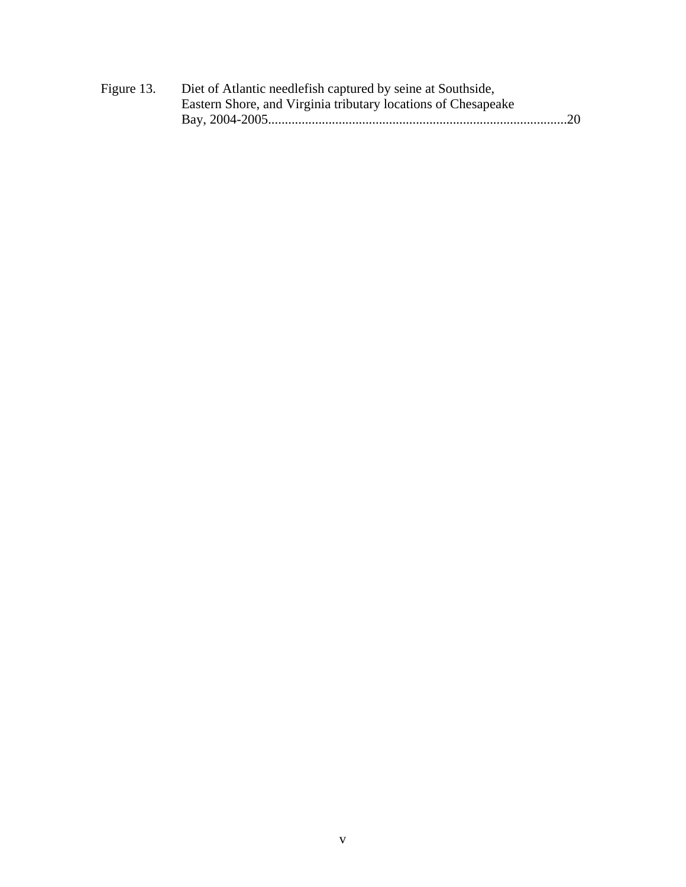| Figure 13. | Diet of Atlantic needlefish captured by seine at Southside,   |  |
|------------|---------------------------------------------------------------|--|
|            | Eastern Shore, and Virginia tributary locations of Chesapeake |  |
|            |                                                               |  |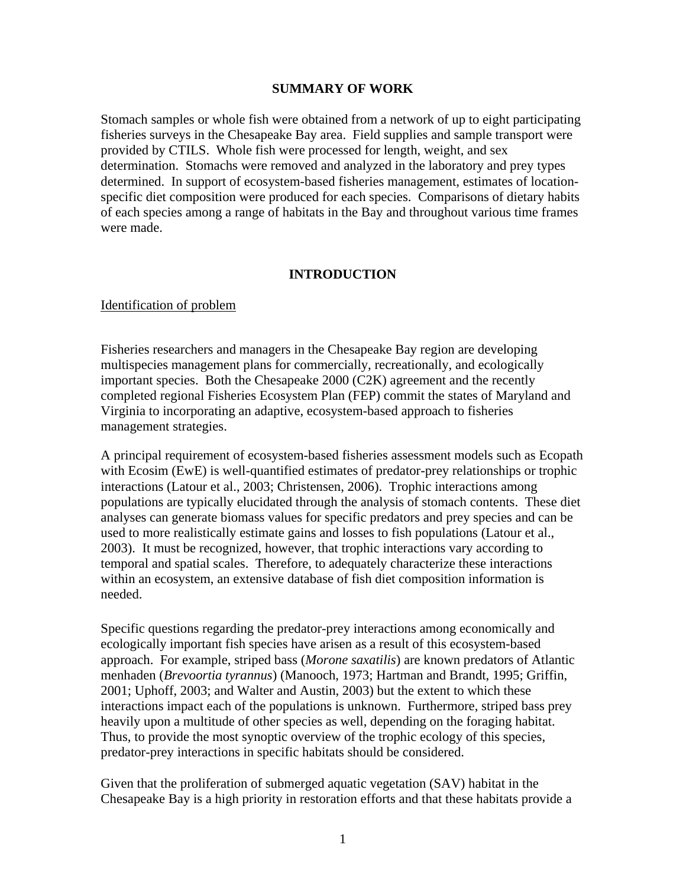#### **SUMMARY OF WORK**

Stomach samples or whole fish were obtained from a network of up to eight participating fisheries surveys in the Chesapeake Bay area. Field supplies and sample transport were provided by CTILS. Whole fish were processed for length, weight, and sex determination. Stomachs were removed and analyzed in the laboratory and prey types determined. In support of ecosystem-based fisheries management, estimates of locationspecific diet composition were produced for each species. Comparisons of dietary habits of each species among a range of habitats in the Bay and throughout various time frames were made.

#### **INTRODUCTION**

#### Identification of problem

Fisheries researchers and managers in the Chesapeake Bay region are developing multispecies management plans for commercially, recreationally, and ecologically important species. Both the Chesapeake 2000 (C2K) agreement and the recently completed regional Fisheries Ecosystem Plan (FEP) commit the states of Maryland and Virginia to incorporating an adaptive, ecosystem-based approach to fisheries management strategies.

A principal requirement of ecosystem-based fisheries assessment models such as Ecopath with Ecosim (EwE) is well-quantified estimates of predator-prey relationships or trophic interactions (Latour et al., 2003; Christensen, 2006). Trophic interactions among populations are typically elucidated through the analysis of stomach contents. These diet analyses can generate biomass values for specific predators and prey species and can be used to more realistically estimate gains and losses to fish populations (Latour et al., 2003). It must be recognized, however, that trophic interactions vary according to temporal and spatial scales. Therefore, to adequately characterize these interactions within an ecosystem, an extensive database of fish diet composition information is needed.

Specific questions regarding the predator-prey interactions among economically and ecologically important fish species have arisen as a result of this ecosystem-based approach. For example, striped bass (*Morone saxatilis*) are known predators of Atlantic menhaden (*Brevoortia tyrannus*) (Manooch, 1973; Hartman and Brandt, 1995; Griffin, 2001; Uphoff, 2003; and Walter and Austin, 2003) but the extent to which these interactions impact each of the populations is unknown. Furthermore, striped bass prey heavily upon a multitude of other species as well, depending on the foraging habitat. Thus, to provide the most synoptic overview of the trophic ecology of this species, predator-prey interactions in specific habitats should be considered.

Given that the proliferation of submerged aquatic vegetation (SAV) habitat in the Chesapeake Bay is a high priority in restoration efforts and that these habitats provide a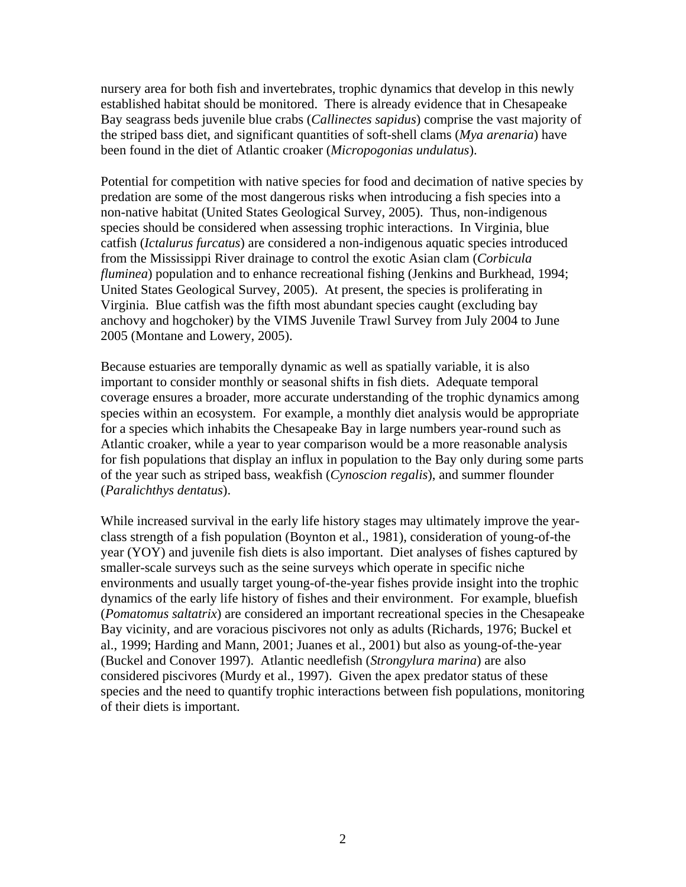nursery area for both fish and invertebrates, trophic dynamics that develop in this newly established habitat should be monitored. There is already evidence that in Chesapeake Bay seagrass beds juvenile blue crabs (*Callinectes sapidus*) comprise the vast majority of the striped bass diet, and significant quantities of soft-shell clams (*Mya arenaria*) have been found in the diet of Atlantic croaker (*Micropogonias undulatus*).

Potential for competition with native species for food and decimation of native species by predation are some of the most dangerous risks when introducing a fish species into a non-native habitat (United States Geological Survey, 2005). Thus, non-indigenous species should be considered when assessing trophic interactions. In Virginia, blue catfish (*Ictalurus furcatus*) are considered a non-indigenous aquatic species introduced from the Mississippi River drainage to control the exotic Asian clam (*Corbicula fluminea*) population and to enhance recreational fishing (Jenkins and Burkhead, 1994; United States Geological Survey, 2005). At present, the species is proliferating in Virginia. Blue catfish was the fifth most abundant species caught (excluding bay anchovy and hogchoker) by the VIMS Juvenile Trawl Survey from July 2004 to June 2005 (Montane and Lowery, 2005).

Because estuaries are temporally dynamic as well as spatially variable, it is also important to consider monthly or seasonal shifts in fish diets. Adequate temporal coverage ensures a broader, more accurate understanding of the trophic dynamics among species within an ecosystem. For example, a monthly diet analysis would be appropriate for a species which inhabits the Chesapeake Bay in large numbers year-round such as Atlantic croaker, while a year to year comparison would be a more reasonable analysis for fish populations that display an influx in population to the Bay only during some parts of the year such as striped bass, weakfish (*Cynoscion regalis*), and summer flounder (*Paralichthys dentatus*).

While increased survival in the early life history stages may ultimately improve the yearclass strength of a fish population (Boynton et al., 1981), consideration of young-of-the year (YOY) and juvenile fish diets is also important. Diet analyses of fishes captured by smaller-scale surveys such as the seine surveys which operate in specific niche environments and usually target young-of-the-year fishes provide insight into the trophic dynamics of the early life history of fishes and their environment. For example, bluefish (*Pomatomus saltatrix*) are considered an important recreational species in the Chesapeake Bay vicinity, and are voracious piscivores not only as adults (Richards, 1976; Buckel et al., 1999; Harding and Mann, 2001; Juanes et al., 2001) but also as young-of-the-year (Buckel and Conover 1997). Atlantic needlefish (*Strongylura marina*) are also considered piscivores (Murdy et al., 1997). Given the apex predator status of these species and the need to quantify trophic interactions between fish populations, monitoring of their diets is important.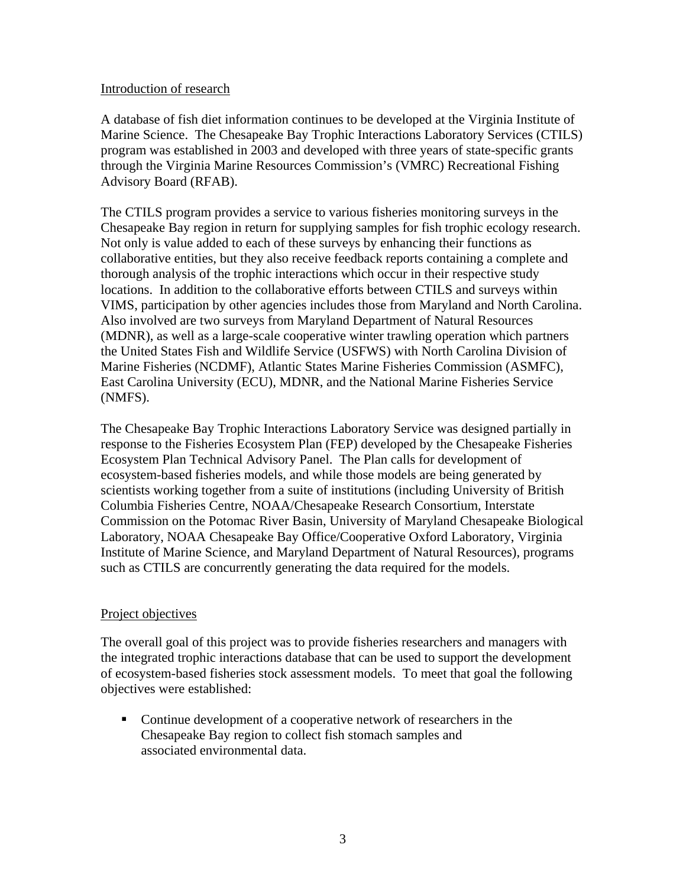#### Introduction of research

A database of fish diet information continues to be developed at the Virginia Institute of Marine Science. The Chesapeake Bay Trophic Interactions Laboratory Services (CTILS) program was established in 2003 and developed with three years of state-specific grants through the Virginia Marine Resources Commission's (VMRC) Recreational Fishing Advisory Board (RFAB).

The CTILS program provides a service to various fisheries monitoring surveys in the Chesapeake Bay region in return for supplying samples for fish trophic ecology research. Not only is value added to each of these surveys by enhancing their functions as collaborative entities, but they also receive feedback reports containing a complete and thorough analysis of the trophic interactions which occur in their respective study locations. In addition to the collaborative efforts between CTILS and surveys within VIMS, participation by other agencies includes those from Maryland and North Carolina. Also involved are two surveys from Maryland Department of Natural Resources (MDNR), as well as a large-scale cooperative winter trawling operation which partners the United States Fish and Wildlife Service (USFWS) with North Carolina Division of Marine Fisheries (NCDMF), Atlantic States Marine Fisheries Commission (ASMFC), East Carolina University (ECU), MDNR, and the National Marine Fisheries Service (NMFS).

The Chesapeake Bay Trophic Interactions Laboratory Service was designed partially in response to the Fisheries Ecosystem Plan (FEP) developed by the Chesapeake Fisheries Ecosystem Plan Technical Advisory Panel. The Plan calls for development of ecosystem-based fisheries models, and while those models are being generated by scientists working together from a suite of institutions (including University of British Columbia Fisheries Centre, NOAA/Chesapeake Research Consortium, Interstate Commission on the Potomac River Basin, University of Maryland Chesapeake Biological Laboratory, NOAA Chesapeake Bay Office/Cooperative Oxford Laboratory, Virginia Institute of Marine Science, and Maryland Department of Natural Resources), programs such as CTILS are concurrently generating the data required for the models.

#### Project objectives

The overall goal of this project was to provide fisheries researchers and managers with the integrated trophic interactions database that can be used to support the development of ecosystem-based fisheries stock assessment models. To meet that goal the following objectives were established:

 Continue development of a cooperative network of researchers in the Chesapeake Bay region to collect fish stomach samples and associated environmental data.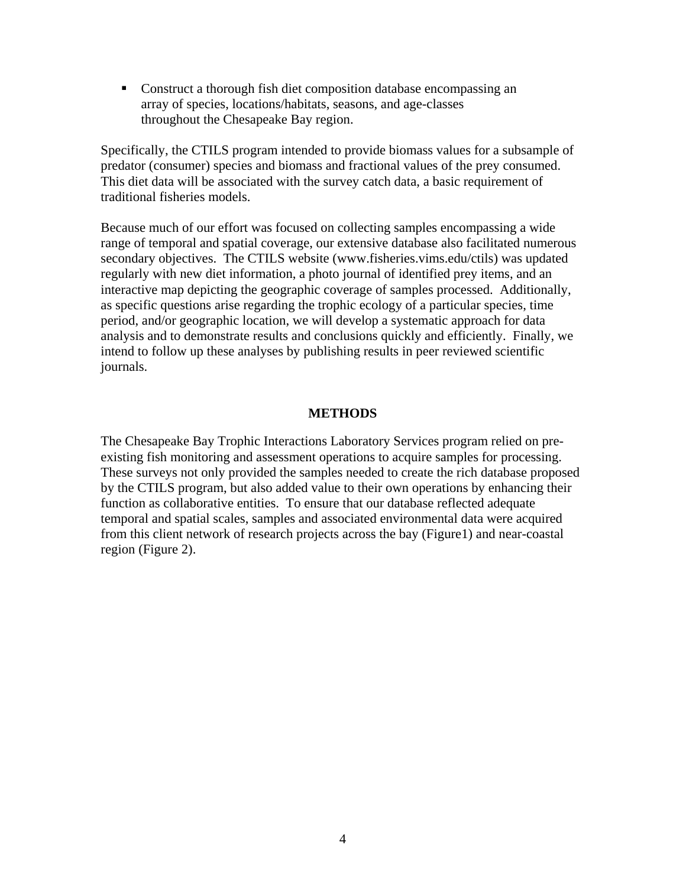Construct a thorough fish diet composition database encompassing an array of species, locations/habitats, seasons, and age-classes throughout the Chesapeake Bay region.

Specifically, the CTILS program intended to provide biomass values for a subsample of predator (consumer) species and biomass and fractional values of the prey consumed. This diet data will be associated with the survey catch data, a basic requirement of traditional fisheries models.

Because much of our effort was focused on collecting samples encompassing a wide range of temporal and spatial coverage, our extensive database also facilitated numerous secondary objectives. The CTILS website (www.fisheries.vims.edu/ctils) was updated regularly with new diet information, a photo journal of identified prey items, and an interactive map depicting the geographic coverage of samples processed. Additionally, as specific questions arise regarding the trophic ecology of a particular species, time period, and/or geographic location, we will develop a systematic approach for data analysis and to demonstrate results and conclusions quickly and efficiently. Finally, we intend to follow up these analyses by publishing results in peer reviewed scientific journals.

#### **METHODS**

The Chesapeake Bay Trophic Interactions Laboratory Services program relied on preexisting fish monitoring and assessment operations to acquire samples for processing. These surveys not only provided the samples needed to create the rich database proposed by the CTILS program, but also added value to their own operations by enhancing their function as collaborative entities. To ensure that our database reflected adequate temporal and spatial scales, samples and associated environmental data were acquired from this client network of research projects across the bay (Figure1) and near-coastal region (Figure 2).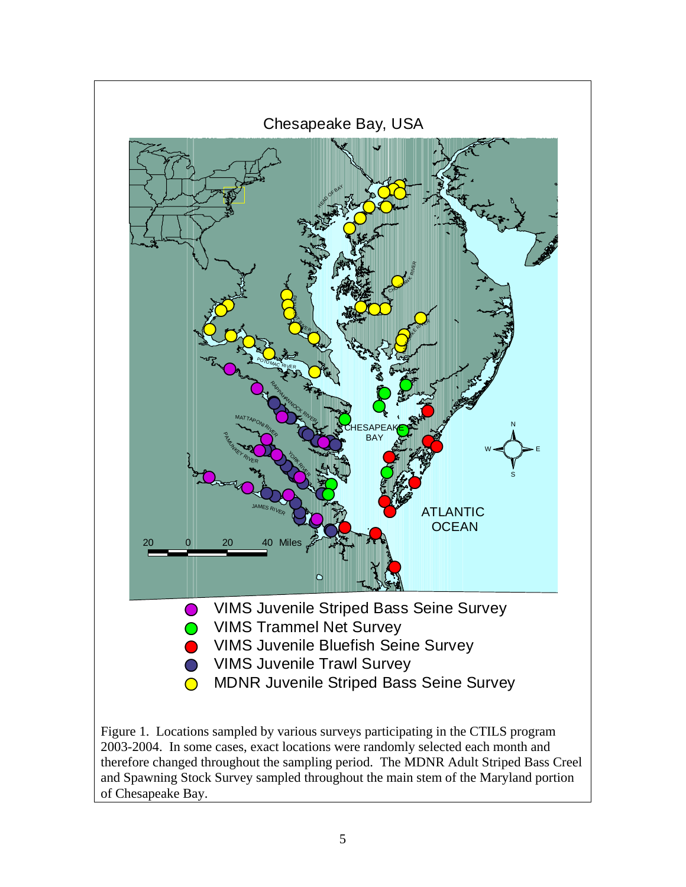

therefore changed throughout the sampling period. The MDNR Adult Striped Bass Creel and Spawning Stock Survey sampled throughout the main stem of the Maryland portion of Chesapeake Bay.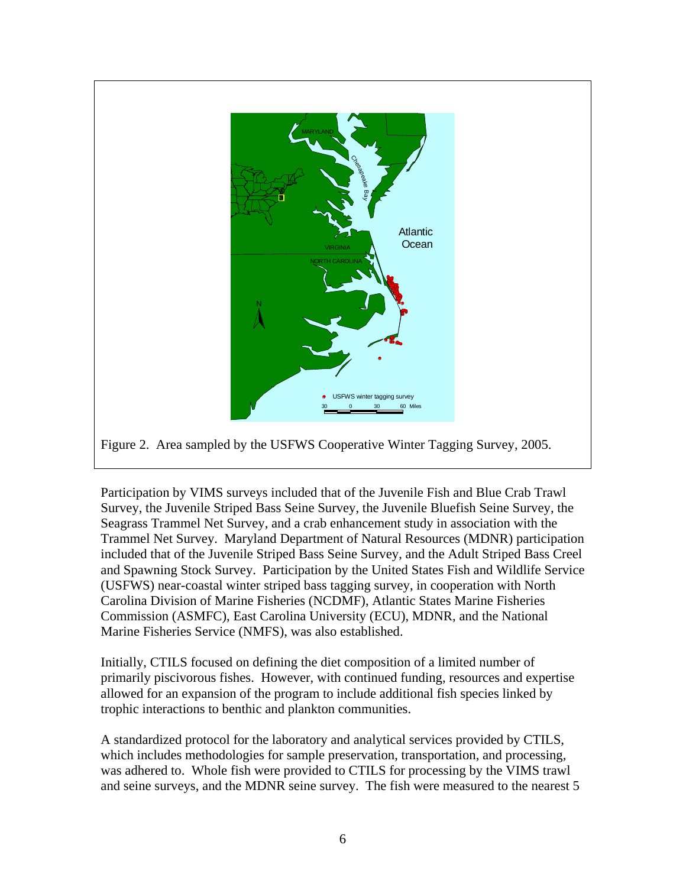

Participation by VIMS surveys included that of the Juvenile Fish and Blue Crab Trawl Survey, the Juvenile Striped Bass Seine Survey, the Juvenile Bluefish Seine Survey, the Seagrass Trammel Net Survey, and a crab enhancement study in association with the Trammel Net Survey. Maryland Department of Natural Resources (MDNR) participation included that of the Juvenile Striped Bass Seine Survey, and the Adult Striped Bass Creel and Spawning Stock Survey. Participation by the United States Fish and Wildlife Service (USFWS) near-coastal winter striped bass tagging survey, in cooperation with North Carolina Division of Marine Fisheries (NCDMF), Atlantic States Marine Fisheries Commission (ASMFC), East Carolina University (ECU), MDNR, and the National Marine Fisheries Service (NMFS), was also established.

Initially, CTILS focused on defining the diet composition of a limited number of primarily piscivorous fishes. However, with continued funding, resources and expertise allowed for an expansion of the program to include additional fish species linked by trophic interactions to benthic and plankton communities.

A standardized protocol for the laboratory and analytical services provided by CTILS, which includes methodologies for sample preservation, transportation, and processing, was adhered to. Whole fish were provided to CTILS for processing by the VIMS trawl and seine surveys, and the MDNR seine survey. The fish were measured to the nearest 5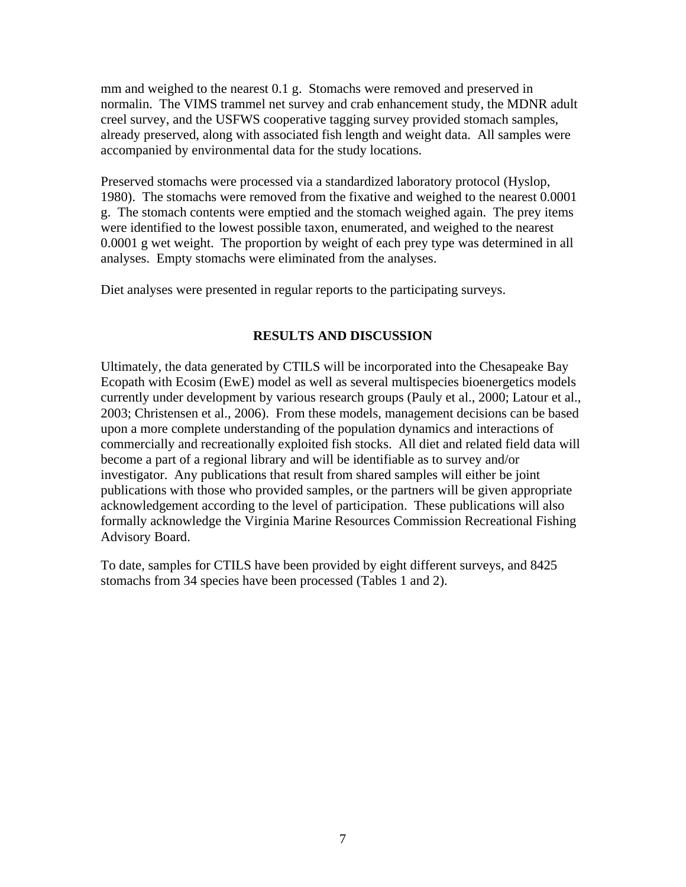mm and weighed to the nearest 0.1 g. Stomachs were removed and preserved in normalin. The VIMS trammel net survey and crab enhancement study, the MDNR adult creel survey, and the USFWS cooperative tagging survey provided stomach samples, already preserved, along with associated fish length and weight data. All samples were accompanied by environmental data for the study locations.

Preserved stomachs were processed via a standardized laboratory protocol (Hyslop, 1980). The stomachs were removed from the fixative and weighed to the nearest 0.0001 g. The stomach contents were emptied and the stomach weighed again. The prey items were identified to the lowest possible taxon, enumerated, and weighed to the nearest 0.0001 g wet weight. The proportion by weight of each prey type was determined in all analyses. Empty stomachs were eliminated from the analyses.

Diet analyses were presented in regular reports to the participating surveys.

### **RESULTS AND DISCUSSION**

Ultimately, the data generated by CTILS will be incorporated into the Chesapeake Bay Ecopath with Ecosim (EwE) model as well as several multispecies bioenergetics models currently under development by various research groups (Pauly et al., 2000; Latour et al., 2003; Christensen et al., 2006). From these models, management decisions can be based upon a more complete understanding of the population dynamics and interactions of commercially and recreationally exploited fish stocks. All diet and related field data will become a part of a regional library and will be identifiable as to survey and/or investigator. Any publications that result from shared samples will either be joint publications with those who provided samples, or the partners will be given appropriate acknowledgement according to the level of participation. These publications will also formally acknowledge the Virginia Marine Resources Commission Recreational Fishing Advisory Board.

To date, samples for CTILS have been provided by eight different surveys, and 8425 stomachs from 34 species have been processed (Tables 1 and 2).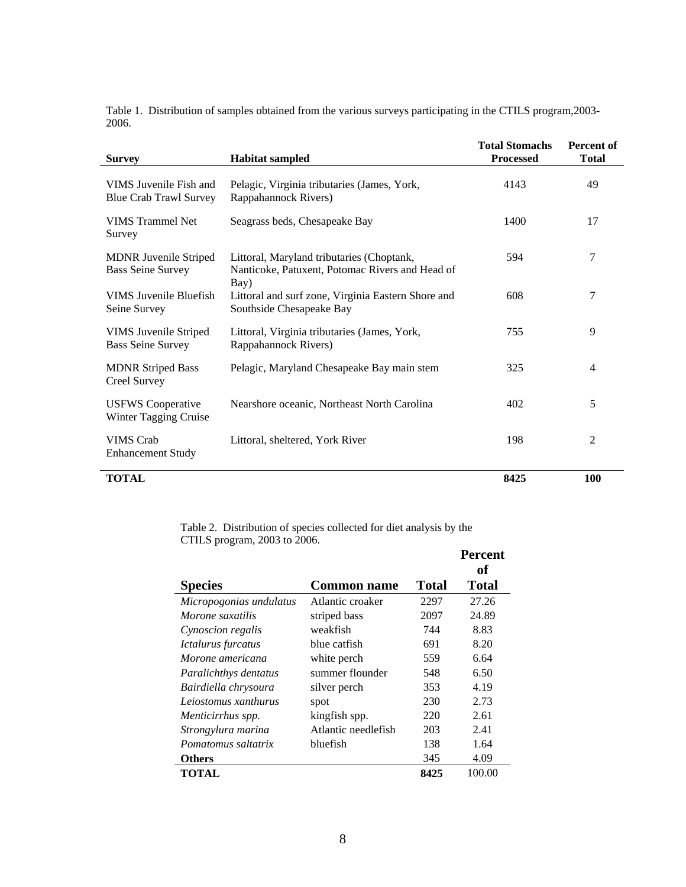Table 1. Distribution of samples obtained from the various surveys participating in the CTILS program,2003- 2006.

| <b>Survey</b>                                            | <b>Habitat sampled</b>                                                                               | <b>Total Stomachs</b><br><b>Processed</b> | <b>Percent of</b><br><b>Total</b> |
|----------------------------------------------------------|------------------------------------------------------------------------------------------------------|-------------------------------------------|-----------------------------------|
| VIMS Juvenile Fish and<br><b>Blue Crab Trawl Survey</b>  | Pelagic, Virginia tributaries (James, York,<br>Rappahannock Rivers)                                  | 4143                                      | 49                                |
| <b>VIMS</b> Trammel Net<br>Survey                        | Seagrass beds, Chesapeake Bay                                                                        | 1400                                      | 17                                |
| <b>MDNR</b> Juvenile Striped<br><b>Bass Seine Survey</b> | Littoral, Maryland tributaries (Choptank,<br>Nanticoke, Patuxent, Potomac Rivers and Head of<br>Bay) | 594                                       | 7                                 |
| VIMS Juvenile Bluefish<br>Seine Survey                   | Littoral and surf zone, Virginia Eastern Shore and<br>Southside Chesapeake Bay                       | 608                                       | 7                                 |
| VIMS Juvenile Striped<br><b>Bass Seine Survey</b>        | Littoral, Virginia tributaries (James, York,<br>Rappahannock Rivers)                                 | 755                                       | 9                                 |
| <b>MDNR Striped Bass</b><br>Creel Survey                 | Pelagic, Maryland Chesapeake Bay main stem                                                           | 325                                       | 4                                 |
| <b>USFWS</b> Cooperative<br>Winter Tagging Cruise        | Nearshore oceanic, Northeast North Carolina                                                          | 402                                       | 5                                 |
| <b>VIMS</b> Crab<br><b>Enhancement Study</b>             | Littoral, sheltered, York River                                                                      | 198                                       | 2                                 |
| <b>TOTAL</b>                                             |                                                                                                      | 8425                                      | <b>100</b>                        |

Table 2. Distribution of species collected for diet analysis by the CTILS program, 2003 to 2006.

|                         |                     |       | <b>Percent</b> |
|-------------------------|---------------------|-------|----------------|
|                         |                     |       | of             |
| <b>Species</b>          | <b>Common name</b>  | Total | <b>Total</b>   |
| Micropogonias undulatus | Atlantic croaker    | 2297  | 27.26          |
| Morone saxatilis        | striped bass        | 2097  | 24.89          |
| Cynoscion regalis       | weakfish            | 744   | 8.83           |
| Ictalurus furcatus      | blue catfish        | 691   | 8.20           |
| Morone americana        | white perch         | 559   | 6.64           |
| Paralichthys dentatus   | summer flounder     | 548   | 6.50           |
| Bairdiella chrysoura    | silver perch        | 353   | 4.19           |
| Leiostomus xanthurus    | spot                | 230   | 2.73           |
| Menticirrhus spp.       | kingfish spp.       | 220   | 2.61           |
| Strongylura marina      | Atlantic needlefish | 203   | 2.41           |
| Pomatomus saltatrix     | bluefish            | 138   | 1.64           |
| <b>Others</b>           |                     | 345   | 4.09           |
| TOTAL                   |                     | 8425  | 100.00         |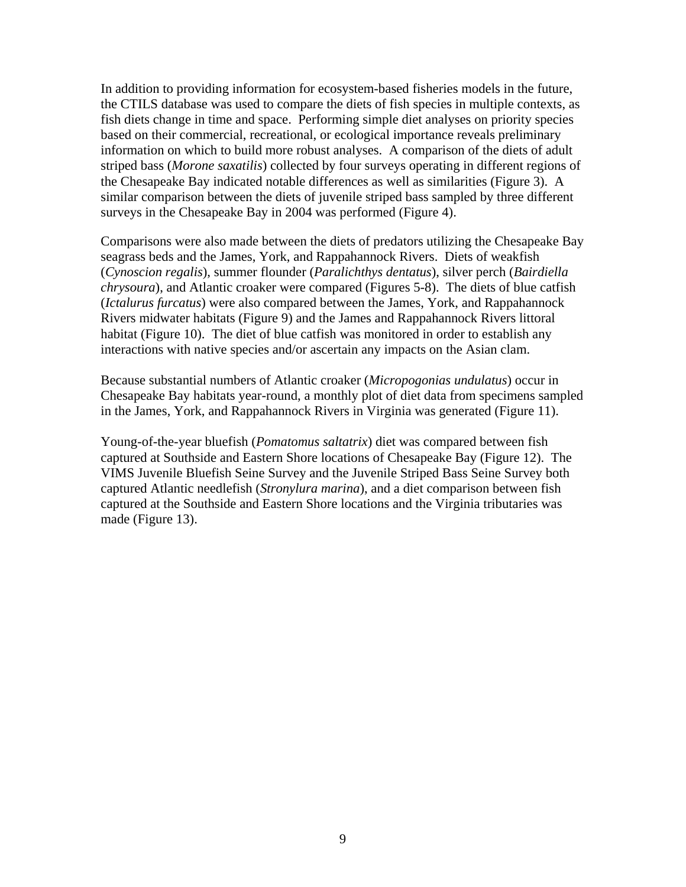In addition to providing information for ecosystem-based fisheries models in the future, the CTILS database was used to compare the diets of fish species in multiple contexts, as fish diets change in time and space. Performing simple diet analyses on priority species based on their commercial, recreational, or ecological importance reveals preliminary information on which to build more robust analyses. A comparison of the diets of adult striped bass (*Morone saxatilis*) collected by four surveys operating in different regions of the Chesapeake Bay indicated notable differences as well as similarities (Figure 3). A similar comparison between the diets of juvenile striped bass sampled by three different surveys in the Chesapeake Bay in 2004 was performed (Figure 4).

Comparisons were also made between the diets of predators utilizing the Chesapeake Bay seagrass beds and the James, York, and Rappahannock Rivers. Diets of weakfish (*Cynoscion regalis*), summer flounder (*Paralichthys dentatus*), silver perch (*Bairdiella chrysoura*), and Atlantic croaker were compared (Figures 5-8). The diets of blue catfish (*Ictalurus furcatus*) were also compared between the James, York, and Rappahannock Rivers midwater habitats (Figure 9) and the James and Rappahannock Rivers littoral habitat (Figure 10). The diet of blue catfish was monitored in order to establish any interactions with native species and/or ascertain any impacts on the Asian clam.

Because substantial numbers of Atlantic croaker (*Micropogonias undulatus*) occur in Chesapeake Bay habitats year-round, a monthly plot of diet data from specimens sampled in the James, York, and Rappahannock Rivers in Virginia was generated (Figure 11).

Young-of-the-year bluefish (*Pomatomus saltatrix*) diet was compared between fish captured at Southside and Eastern Shore locations of Chesapeake Bay (Figure 12). The VIMS Juvenile Bluefish Seine Survey and the Juvenile Striped Bass Seine Survey both captured Atlantic needlefish (*Stronylura marina*), and a diet comparison between fish captured at the Southside and Eastern Shore locations and the Virginia tributaries was made (Figure 13).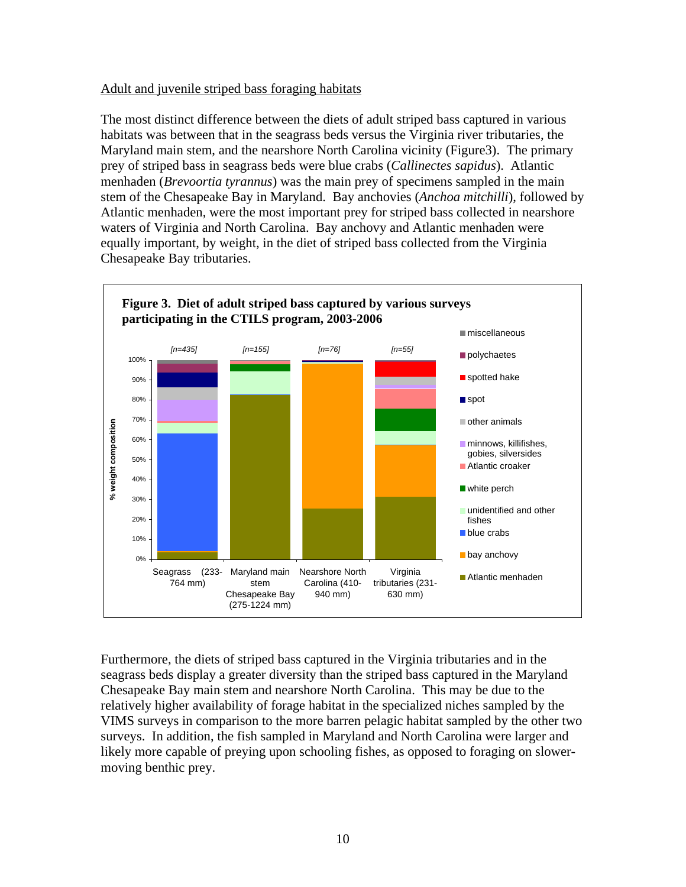### Adult and juvenile striped bass foraging habitats

The most distinct difference between the diets of adult striped bass captured in various habitats was between that in the seagrass beds versus the Virginia river tributaries, the Maryland main stem, and the nearshore North Carolina vicinity (Figure3). The primary prey of striped bass in seagrass beds were blue crabs (*Callinectes sapidus*). Atlantic menhaden (*Brevoortia tyrannus*) was the main prey of specimens sampled in the main stem of the Chesapeake Bay in Maryland. Bay anchovies (*Anchoa mitchilli*), followed by Atlantic menhaden, were the most important prey for striped bass collected in nearshore waters of Virginia and North Carolina. Bay anchovy and Atlantic menhaden were equally important, by weight, in the diet of striped bass collected from the Virginia Chesapeake Bay tributaries.



Furthermore, the diets of striped bass captured in the Virginia tributaries and in the seagrass beds display a greater diversity than the striped bass captured in the Maryland Chesapeake Bay main stem and nearshore North Carolina. This may be due to the relatively higher availability of forage habitat in the specialized niches sampled by the VIMS surveys in comparison to the more barren pelagic habitat sampled by the other two surveys. In addition, the fish sampled in Maryland and North Carolina were larger and likely more capable of preying upon schooling fishes, as opposed to foraging on slowermoving benthic prey.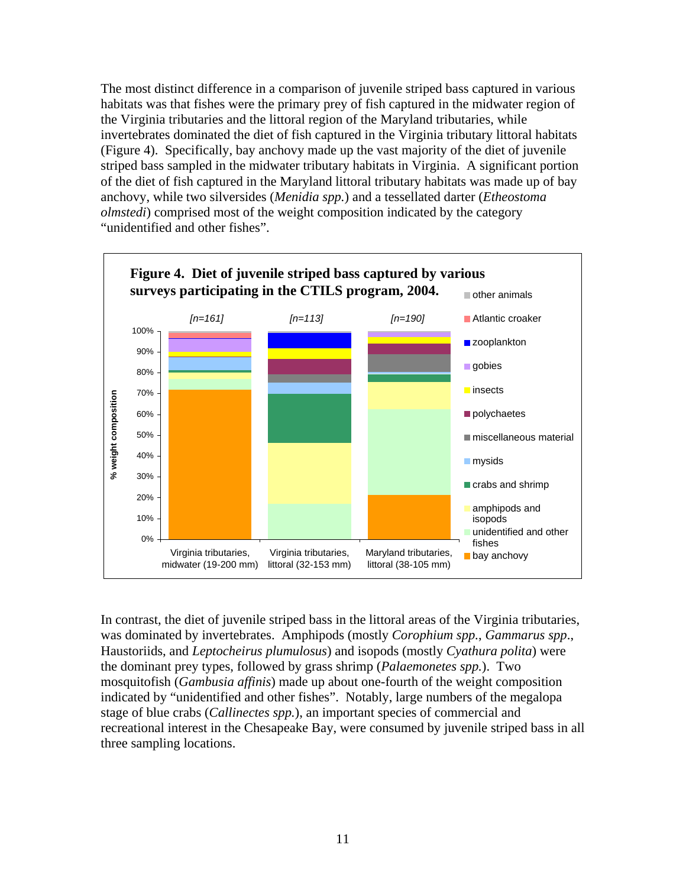The most distinct difference in a comparison of juvenile striped bass captured in various habitats was that fishes were the primary prey of fish captured in the midwater region of the Virginia tributaries and the littoral region of the Maryland tributaries, while invertebrates dominated the diet of fish captured in the Virginia tributary littoral habitats (Figure 4). Specifically, bay anchovy made up the vast majority of the diet of juvenile striped bass sampled in the midwater tributary habitats in Virginia. A significant portion of the diet of fish captured in the Maryland littoral tributary habitats was made up of bay anchovy, while two silversides (*Menidia spp.*) and a tessellated darter (*Etheostoma olmstedi*) comprised most of the weight composition indicated by the category "unidentified and other fishes".



In contrast, the diet of juvenile striped bass in the littoral areas of the Virginia tributaries, was dominated by invertebrates. Amphipods (mostly *Corophium spp.*, *Gammarus spp*., Haustoriids, and *Leptocheirus plumulosus*) and isopods (mostly *Cyathura polita*) were the dominant prey types, followed by grass shrimp (*Palaemonetes spp.*). Two mosquitofish (*Gambusia affinis*) made up about one-fourth of the weight composition indicated by "unidentified and other fishes". Notably, large numbers of the megalopa stage of blue crabs (*Callinectes spp.*), an important species of commercial and recreational interest in the Chesapeake Bay, were consumed by juvenile striped bass in all three sampling locations.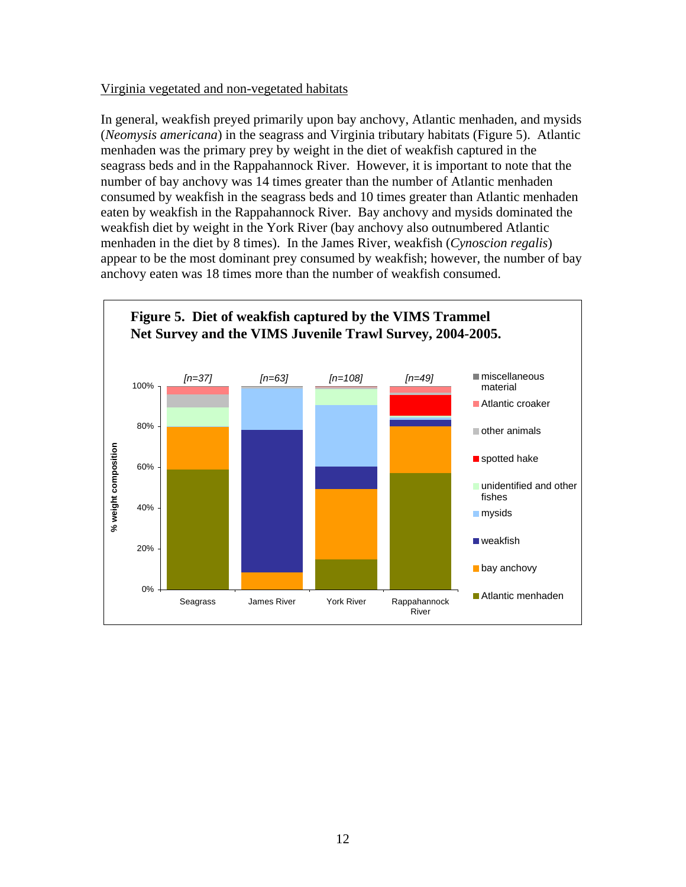#### Virginia vegetated and non-vegetated habitats

In general, weakfish preyed primarily upon bay anchovy, Atlantic menhaden, and mysids (*Neomysis americana*) in the seagrass and Virginia tributary habitats (Figure 5). Atlantic menhaden was the primary prey by weight in the diet of weakfish captured in the seagrass beds and in the Rappahannock River. However, it is important to note that the number of bay anchovy was 14 times greater than the number of Atlantic menhaden consumed by weakfish in the seagrass beds and 10 times greater than Atlantic menhaden eaten by weakfish in the Rappahannock River. Bay anchovy and mysids dominated the weakfish diet by weight in the York River (bay anchovy also outnumbered Atlantic menhaden in the diet by 8 times). In the James River, weakfish (*Cynoscion regalis*) appear to be the most dominant prey consumed by weakfish; however, the number of bay anchovy eaten was 18 times more than the number of weakfish consumed.

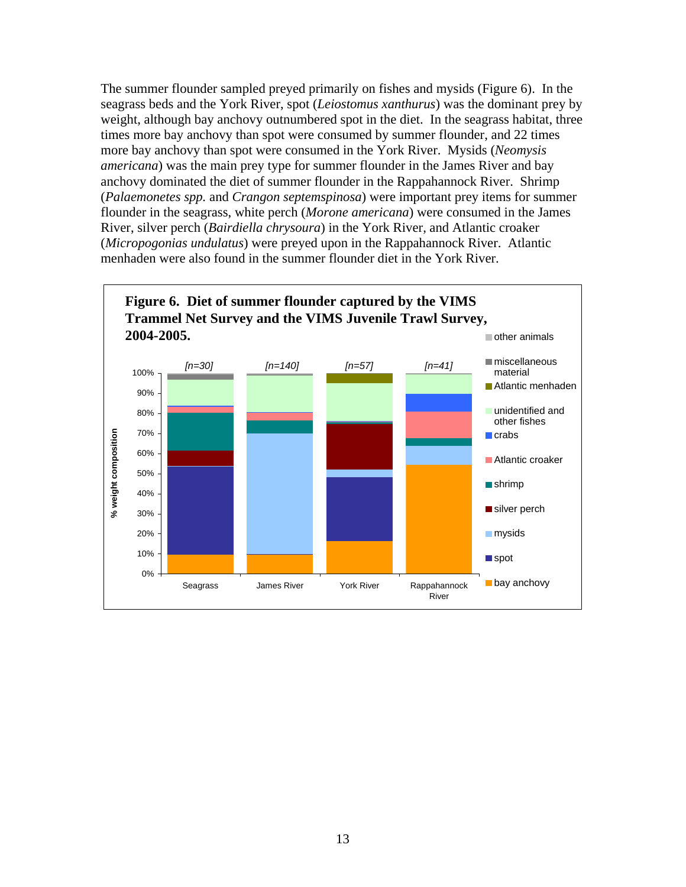The summer flounder sampled preyed primarily on fishes and mysids (Figure 6). In the seagrass beds and the York River, spot (*Leiostomus xanthurus*) was the dominant prey by weight, although bay anchovy outnumbered spot in the diet. In the seagrass habitat, three times more bay anchovy than spot were consumed by summer flounder, and 22 times more bay anchovy than spot were consumed in the York River. Mysids (*Neomysis americana*) was the main prey type for summer flounder in the James River and bay anchovy dominated the diet of summer flounder in the Rappahannock River. Shrimp (*Palaemonetes spp.* and *Crangon septemspinosa*) were important prey items for summer flounder in the seagrass, white perch (*Morone americana*) were consumed in the James River, silver perch (*Bairdiella chrysoura*) in the York River, and Atlantic croaker (*Micropogonias undulatus*) were preyed upon in the Rappahannock River. Atlantic menhaden were also found in the summer flounder diet in the York River.

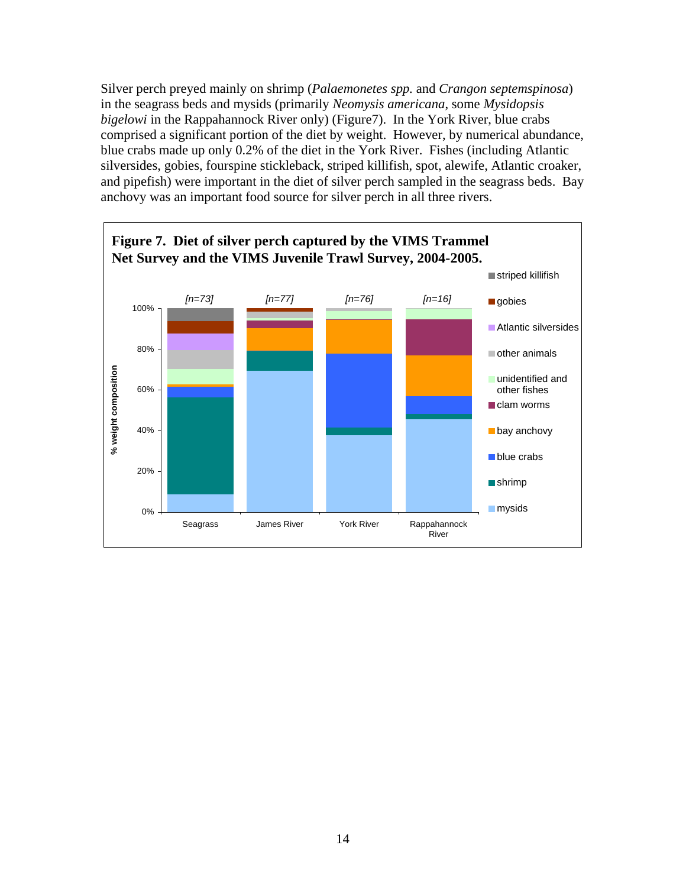Silver perch preyed mainly on shrimp (*Palaemonetes spp.* and *Crangon septemspinosa*) in the seagrass beds and mysids (primarily *Neomysis americana*, some *Mysidopsis bigelowi* in the Rappahannock River only) (Figure7). In the York River, blue crabs comprised a significant portion of the diet by weight. However, by numerical abundance, blue crabs made up only 0.2% of the diet in the York River. Fishes (including Atlantic silversides, gobies, fourspine stickleback, striped killifish, spot, alewife, Atlantic croaker, and pipefish) were important in the diet of silver perch sampled in the seagrass beds. Bay anchovy was an important food source for silver perch in all three rivers.

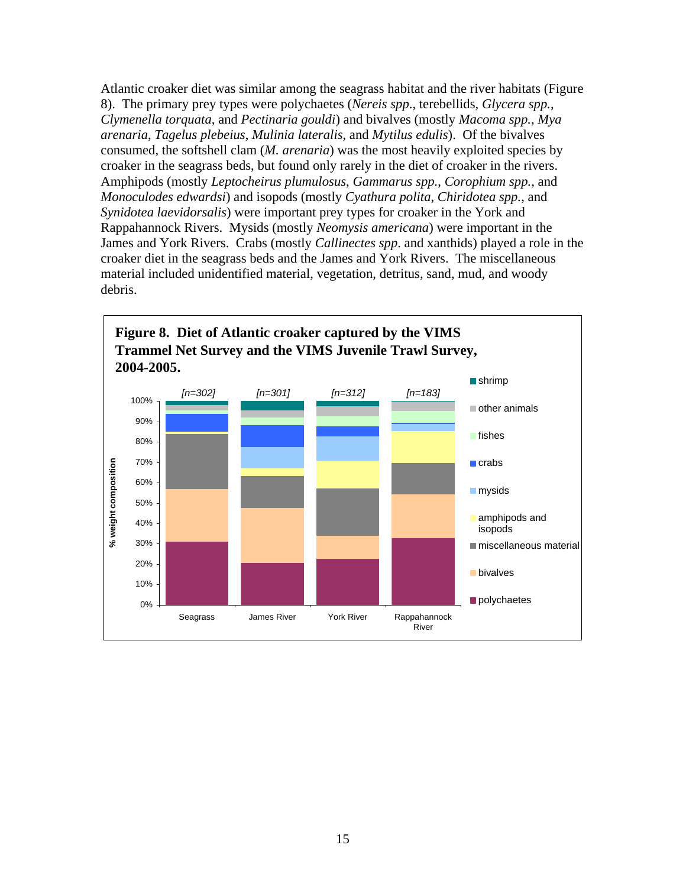Atlantic croaker diet was similar among the seagrass habitat and the river habitats (Figure 8). The primary prey types were polychaetes (*Nereis spp*., terebellids, *Glycera spp.*, *Clymenella torquata*, and *Pectinaria gouldi*) and bivalves (mostly *Macoma spp.*, *Mya arenaria*, *Tagelus plebeius*, *Mulinia lateralis*, and *Mytilus edulis*). Of the bivalves consumed, the softshell clam (*M. arenaria*) was the most heavily exploited species by croaker in the seagrass beds, but found only rarely in the diet of croaker in the rivers. Amphipods (mostly *Leptocheirus plumulosus*, *Gammarus spp.*, *Corophium spp.*, and *Monoculodes edwardsi*) and isopods (mostly *Cyathura polita*, *Chiridotea spp.*, and *Synidotea laevidorsalis*) were important prey types for croaker in the York and Rappahannock Rivers. Mysids (mostly *Neomysis americana*) were important in the James and York Rivers. Crabs (mostly *Callinectes spp*. and xanthids) played a role in the croaker diet in the seagrass beds and the James and York Rivers. The miscellaneous material included unidentified material, vegetation, detritus, sand, mud, and woody debris.

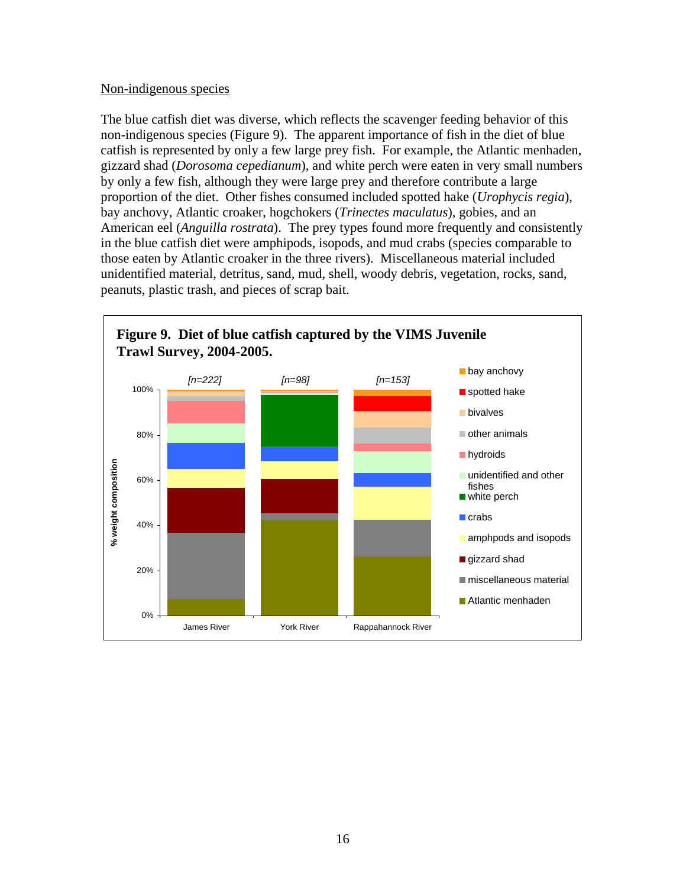#### Non-indigenous species

The blue catfish diet was diverse, which reflects the scavenger feeding behavior of this non-indigenous species (Figure 9). The apparent importance of fish in the diet of blue catfish is represented by only a few large prey fish. For example, the Atlantic menhaden, gizzard shad (*Dorosoma cepedianum*), and white perch were eaten in very small numbers by only a few fish, although they were large prey and therefore contribute a large proportion of the diet. Other fishes consumed included spotted hake (*Urophycis regia*), bay anchovy, Atlantic croaker, hogchokers (*Trinectes maculatus*), gobies, and an American eel (*Anguilla rostrata*). The prey types found more frequently and consistently in the blue catfish diet were amphipods, isopods, and mud crabs (species comparable to those eaten by Atlantic croaker in the three rivers). Miscellaneous material included unidentified material, detritus, sand, mud, shell, woody debris, vegetation, rocks, sand, peanuts, plastic trash, and pieces of scrap bait.

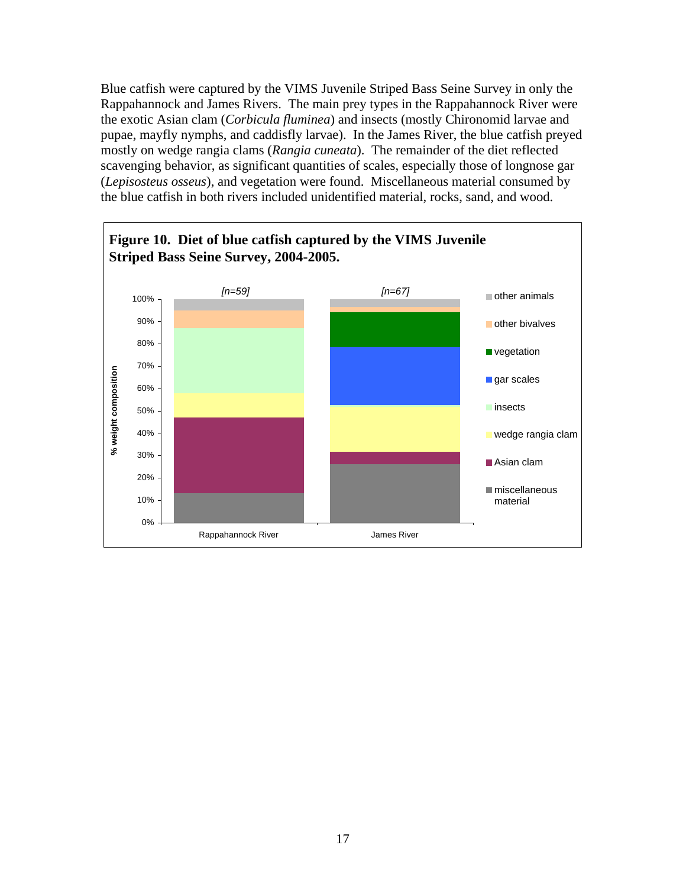Blue catfish were captured by the VIMS Juvenile Striped Bass Seine Survey in only the Rappahannock and James Rivers. The main prey types in the Rappahannock River were the exotic Asian clam (*Corbicula fluminea*) and insects (mostly Chironomid larvae and pupae, mayfly nymphs, and caddisfly larvae). In the James River, the blue catfish preyed mostly on wedge rangia clams (*Rangia cuneata*). The remainder of the diet reflected scavenging behavior, as significant quantities of scales, especially those of longnose gar (*Lepisosteus osseus*), and vegetation were found. Miscellaneous material consumed by the blue catfish in both rivers included unidentified material, rocks, sand, and wood.

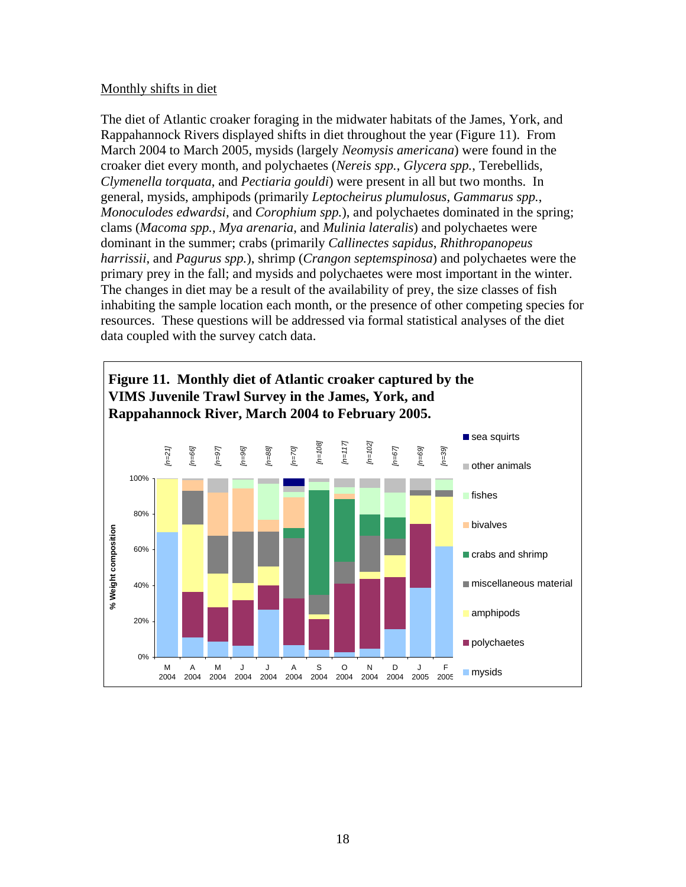#### Monthly shifts in diet

The diet of Atlantic croaker foraging in the midwater habitats of the James, York, and Rappahannock Rivers displayed shifts in diet throughout the year (Figure 11). From March 2004 to March 2005, mysids (largely *Neomysis americana*) were found in the croaker diet every month, and polychaetes (*Nereis spp.*, *Glycera spp.*, Terebellids, *Clymenella torquata*, and *Pectiaria gouldi*) were present in all but two months. In general, mysids, amphipods (primarily *Leptocheirus plumulosus*, *Gammarus spp.*, *Monoculodes edwardsi*, and *Corophium spp.*), and polychaetes dominated in the spring; clams (*Macoma spp.*, *Mya arenaria*, and *Mulinia lateralis*) and polychaetes were dominant in the summer; crabs (primarily *Callinectes sapidus*, *Rhithropanopeus harrissii*, and *Pagurus spp.*), shrimp (*Crangon septemspinosa*) and polychaetes were the primary prey in the fall; and mysids and polychaetes were most important in the winter. The changes in diet may be a result of the availability of prey, the size classes of fish inhabiting the sample location each month, or the presence of other competing species for resources. These questions will be addressed via formal statistical analyses of the diet data coupled with the survey catch data.

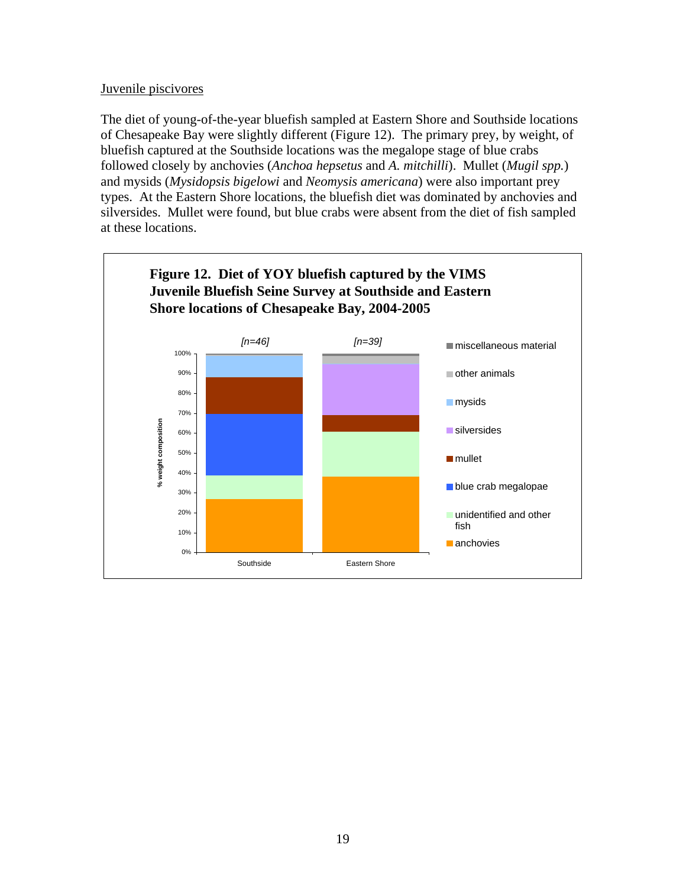### Juvenile piscivores

The diet of young-of-the-year bluefish sampled at Eastern Shore and Southside locations of Chesapeake Bay were slightly different (Figure 12). The primary prey, by weight, of bluefish captured at the Southside locations was the megalope stage of blue crabs followed closely by anchovies (*Anchoa hepsetus* and *A. mitchilli*). Mullet (*Mugil spp.*) and mysids (*Mysidopsis bigelowi* and *Neomysis americana*) were also important prey types. At the Eastern Shore locations, the bluefish diet was dominated by anchovies and silversides. Mullet were found, but blue crabs were absent from the diet of fish sampled at these locations.

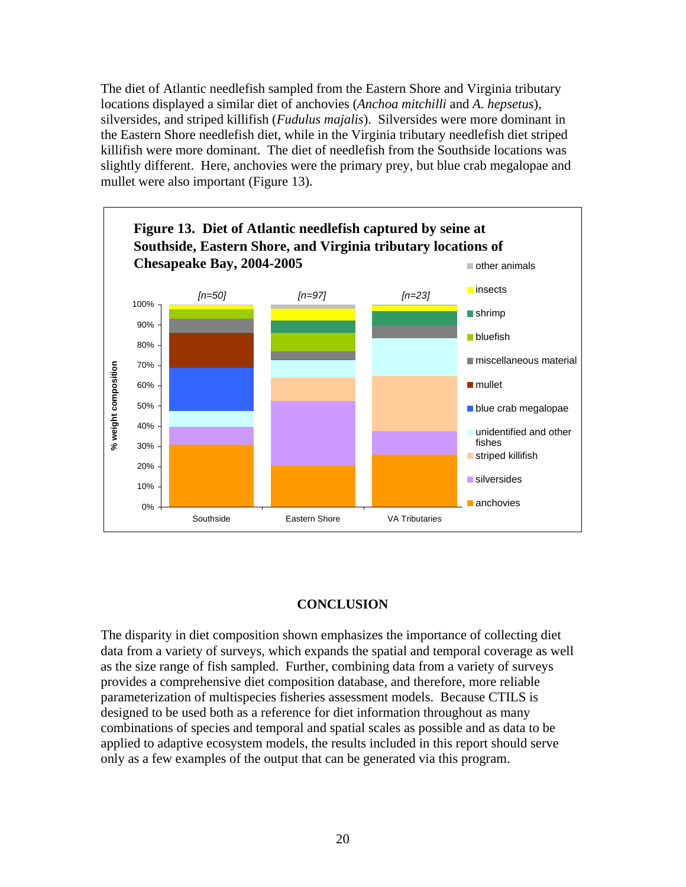The diet of Atlantic needlefish sampled from the Eastern Shore and Virginia tributary locations displayed a similar diet of anchovies (*Anchoa mitchilli* and *A. hepsetus*), silversides, and striped killifish (*Fudulus majalis*). Silversides were more dominant in the Eastern Shore needlefish diet, while in the Virginia tributary needlefish diet striped killifish were more dominant. The diet of needlefish from the Southside locations was slightly different. Here, anchovies were the primary prey, but blue crab megalopae and mullet were also important (Figure 13).



## **CONCLUSION**

The disparity in diet composition shown emphasizes the importance of collecting diet data from a variety of surveys, which expands the spatial and temporal coverage as well as the size range of fish sampled. Further, combining data from a variety of surveys provides a comprehensive diet composition database, and therefore, more reliable parameterization of multispecies fisheries assessment models. Because CTILS is designed to be used both as a reference for diet information throughout as many combinations of species and temporal and spatial scales as possible and as data to be applied to adaptive ecosystem models, the results included in this report should serve only as a few examples of the output that can be generated via this program.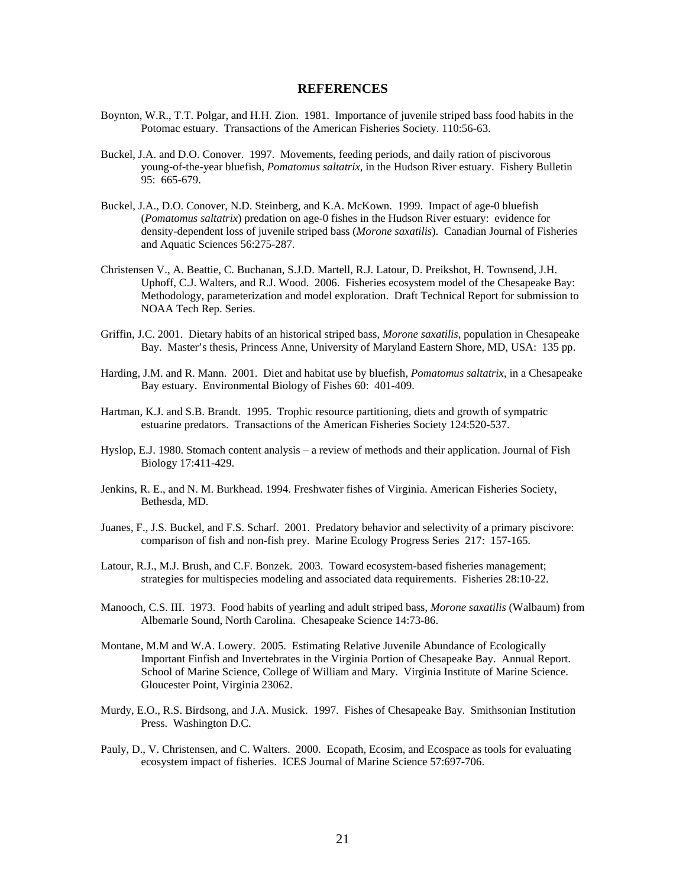#### **REFERENCES**

- Boynton, W.R., T.T. Polgar, and H.H. Zion. 1981. Importance of juvenile striped bass food habits in the Potomac estuary. Transactions of the American Fisheries Society. 110:56-63.
- Buckel, J.A. and D.O. Conover. 1997. Movements, feeding periods, and daily ration of piscivorous young-of-the-year bluefish, *Pomatomus saltatrix*, in the Hudson River estuary. Fishery Bulletin 95: 665-679.
- Buckel, J.A., D.O. Conover, N.D. Steinberg, and K.A. McKown. 1999. Impact of age-0 bluefish (*Pomatomus saltatrix*) predation on age-0 fishes in the Hudson River estuary: evidence for density-dependent loss of juvenile striped bass (*Morone saxatilis*). Canadian Journal of Fisheries and Aquatic Sciences 56:275-287.
- Christensen V., A. Beattie, C. Buchanan, S.J.D. Martell, R.J. Latour, D. Preikshot, H. Townsend, J.H. Uphoff, C.J. Walters, and R.J. Wood. 2006. Fisheries ecosystem model of the Chesapeake Bay: Methodology, parameterization and model exploration. Draft Technical Report for submission to NOAA Tech Rep. Series.
- Griffin, J.C. 2001. Dietary habits of an historical striped bass, *Morone saxatilis*, population in Chesapeake Bay. Master's thesis, Princess Anne, University of Maryland Eastern Shore, MD, USA: 135 pp.
- Harding, J.M. and R. Mann. 2001. Diet and habitat use by bluefish, *Pomatomus saltatrix*, in a Chesapeake Bay estuary. Environmental Biology of Fishes 60: 401-409.
- Hartman, K.J. and S.B. Brandt. 1995. Trophic resource partitioning, diets and growth of sympatric estuarine predators. Transactions of the American Fisheries Society 124:520-537.
- Hyslop, E.J. 1980. Stomach content analysis a review of methods and their application. Journal of Fish Biology 17:411-429.
- Jenkins, R. E., and N. M. Burkhead. 1994. Freshwater fishes of Virginia. American Fisheries Society, Bethesda, MD.
- Juanes, F., J.S. Buckel, and F.S. Scharf. 2001. Predatory behavior and selectivity of a primary piscivore: comparison of fish and non-fish prey. Marine Ecology Progress Series 217: 157-165.
- Latour, R.J., M.J. Brush, and C.F. Bonzek. 2003. Toward ecosystem-based fisheries management; strategies for multispecies modeling and associated data requirements. Fisheries 28:10-22.
- Manooch, C.S. III. 1973. Food habits of yearling and adult striped bass, *Morone saxatilis* (Walbaum) from Albemarle Sound, North Carolina. Chesapeake Science 14:73-86.
- Montane, M.M and W.A. Lowery. 2005. Estimating Relative Juvenile Abundance of Ecologically Important Finfish and Invertebrates in the Virginia Portion of Chesapeake Bay. Annual Report. School of Marine Science, College of William and Mary. Virginia Institute of Marine Science. Gloucester Point, Virginia 23062.
- Murdy, E.O., R.S. Birdsong, and J.A. Musick. 1997. Fishes of Chesapeake Bay. Smithsonian Institution Press. Washington D.C.
- Pauly, D., V. Christensen, and C. Walters. 2000. Ecopath, Ecosim, and Ecospace as tools for evaluating ecosystem impact of fisheries. ICES Journal of Marine Science 57:697-706.